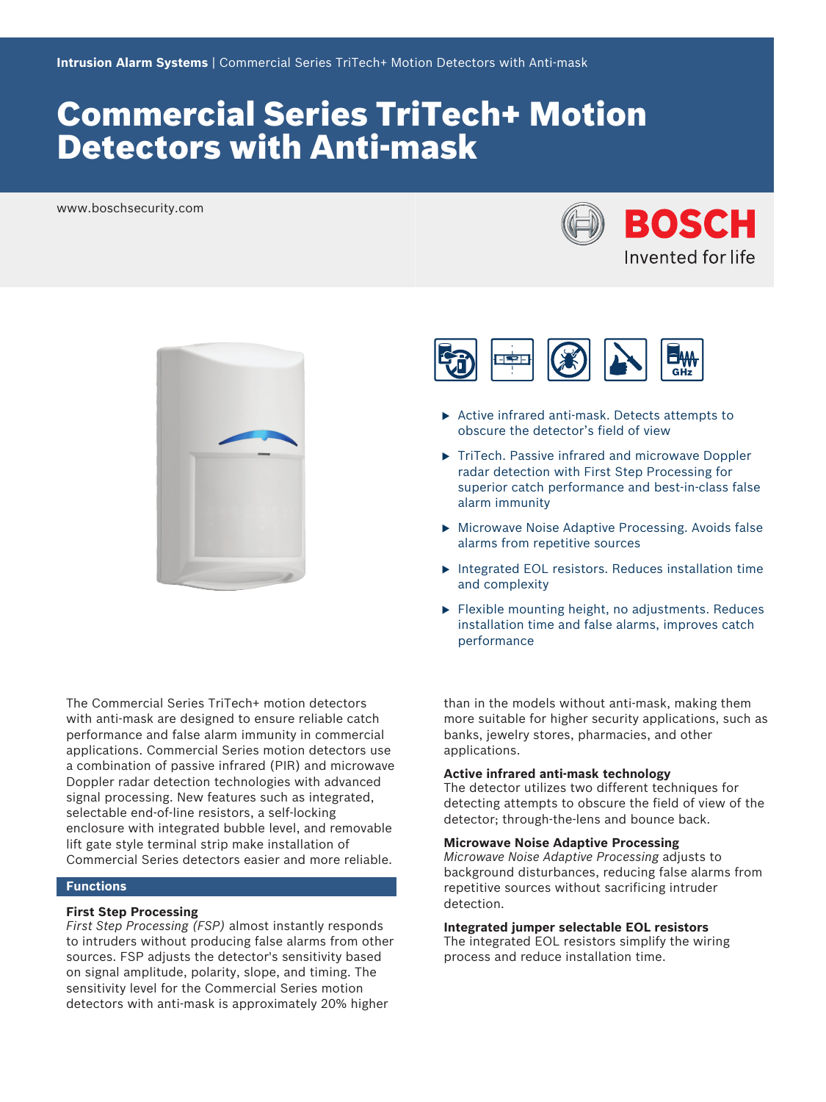# Commercial Series TriTech+ Motion Detectors with Anti-mask

www.boschsecurity.com





The Commercial Series TriTech+ motion detectors with anti-mask are designed to ensure reliable catch performance and false alarm immunity in commercial applications. Commercial Series motion detectors use a combination of passive infrared (PIR) and microwave Doppler radar detection technologies with advanced signal processing. New features such as integrated, selectable end-of-line resistors, a self-locking enclosure with integrated bubble level, and removable lift gate style terminal strip make installation of Commercial Series detectors easier and more reliable.

#### **Functions**

#### **First Step Processing**

*First Step Processing (FSP)* almost instantly responds to intruders without producing false alarms from other sources. FSP adjusts the detector's sensitivity based on signal amplitude, polarity, slope, and timing. The sensitivity level for the Commercial Series motion detectors with anti-mask is approximately 20% higher



- $\triangleright$  Active infrared anti-mask. Detects attempts to obscure the detector's field of view
- $\triangleright$  TriTech. Passive infrared and microwave Doppler radar detection with First Step Processing for superior catch performance and best-in-class false alarm immunity
- $\triangleright$  Microwave Noise Adaptive Processing. Avoids false alarms from repetitive sources
- $\blacktriangleright$  Integrated EOL resistors. Reduces installation time and complexity
- $\blacktriangleright$  Flexible mounting height, no adjustments. Reduces installation time and false alarms, improves catch performance

than in the models without anti-mask, making them more suitable for higher security applications, such as banks, jewelry stores, pharmacies, and other applications.

#### **Active infrared anti-mask technology**

The detector utilizes two different techniques for detecting attempts to obscure the field of view of the detector; through-the-lens and bounce back.

#### **Microwave Noise Adaptive Processing**

*Microwave Noise Adaptive Processing* adjusts to background disturbances, reducing false alarms from repetitive sources without sacrificing intruder detection.

#### **Integrated jumper selectable EOL resistors**

The integrated EOL resistors simplify the wiring process and reduce installation time.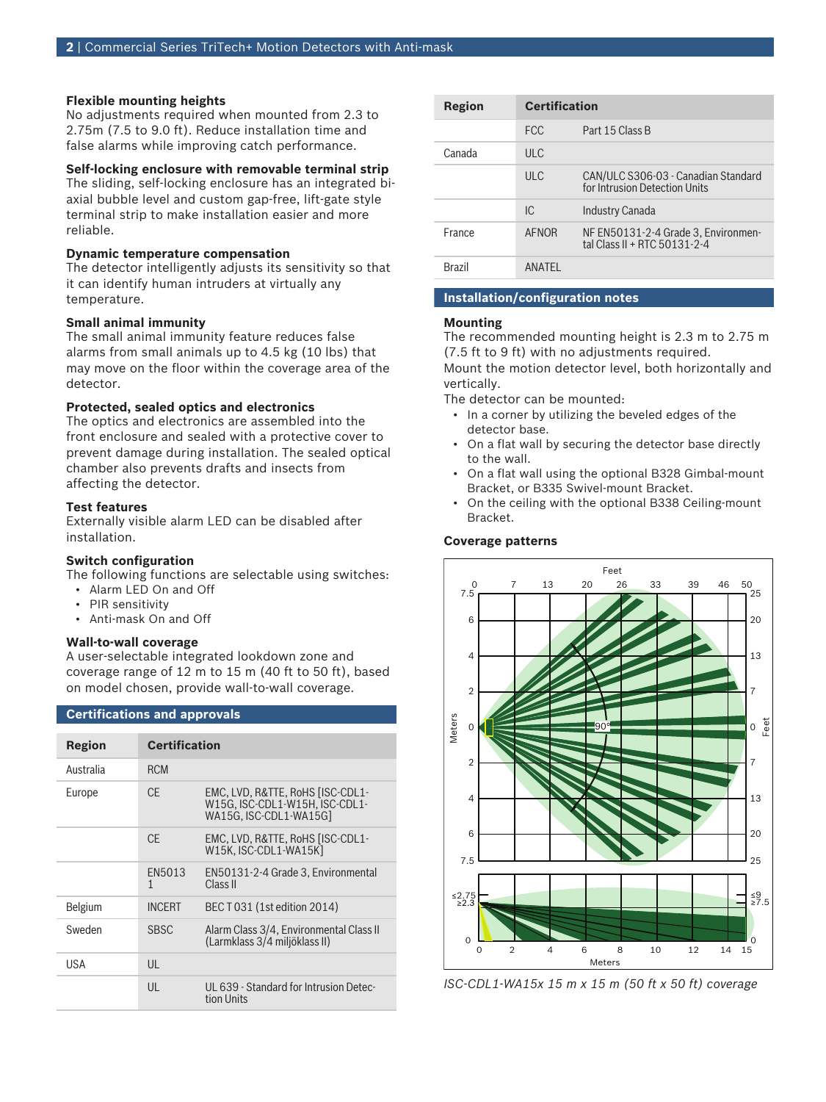#### **Flexible mounting heights**

No adjustments required when mounted from 2.3 to 2.75m (7.5 to 9.0 ft). Reduce installation time and false alarms while improving catch performance.

#### **Self-locking enclosure with removable terminal strip**

The sliding, self-locking enclosure has an integrated biaxial bubble level and custom gap-free, lift-gate style terminal strip to make installation easier and more reliable.

#### **Dynamic temperature compensation**

The detector intelligently adjusts its sensitivity so that it can identify human intruders at virtually any temperature.

#### **Small animal immunity**

The small animal immunity feature reduces false alarms from small animals up to 4.5 kg (10 lbs) that may move on the floor within the coverage area of the detector.

#### **Protected, sealed optics and electronics**

The optics and electronics are assembled into the front enclosure and sealed with a protective cover to prevent damage during installation. The sealed optical chamber also prevents drafts and insects from affecting the detector.

#### **Test features**

Externally visible alarm LED can be disabled after installation.

#### **Switch configuration**

The following functions are selectable using switches:

- Alarm LED On and Off
- PIR sensitivity
- Anti-mask On and Off

**Certifications and approvals**

#### **Wall-to-wall coverage**

A user-selectable integrated lookdown zone and coverage range of 12 m to 15 m (40 ft to 50 ft), based on model chosen, provide wall-to-wall coverage.

| Region    | <b>Certification</b> |                                                                                              |
|-----------|----------------------|----------------------------------------------------------------------------------------------|
| Australia | <b>RCM</b>           |                                                                                              |
| Europe    | CF.                  | EMC, LVD, R&TTE, RoHS [ISC-CDL1-<br>W15G. ISC-CDL1-W15H. ISC-CDL1-<br>WA15G. ISC-CDL1-WA15Gl |
|           | CF.                  | EMC, LVD, R&TTE, RoHS [ISC-CDL1-<br>W15K. ISC-CDL1-WA15K1                                    |
|           | EN5013<br>1          | EN50131-2-4 Grade 3, Environmental<br>Class II                                               |
| Belgium   | <b>INCERT</b>        | BEC T 031 (1st edition 2014)                                                                 |
| Sweden    | <b>SBSC</b>          | Alarm Class 3/4, Environmental Class II<br>(Larmklass 3/4 miljöklass II)                     |
| USA       | $\mathsf{U}$         |                                                                                              |
|           | UL                   | UL 639 - Standard for Intrusion Detec-<br>tion Units                                         |

| Region | <b>Certification</b> |                                                                      |
|--------|----------------------|----------------------------------------------------------------------|
|        | <b>FCC</b>           | Part 15 Class B                                                      |
| Canada | UL                   |                                                                      |
|        | ULC                  | CAN/ULC S306-03 - Canadian Standard<br>for Intrusion Detection Units |
|        | IC.                  | Industry Canada                                                      |
| France | AFNOR                | NF EN50131-2-4 Grade 3, Environmen-<br>tal Class II + RTC 50131-2-4  |
| Brazil | ANATFI               |                                                                      |

#### **Installation/configuration notes**

#### **Mounting**

The recommended mounting height is 2.3 m to 2.75 m (7.5 ft to 9 ft) with no adjustments required.

Mount the motion detector level, both horizontally and vertically.

The detector can be mounted:

- In a corner by utilizing the beveled edges of the detector base.
- On a flat wall by securing the detector base directly to the wall.
- On a flat wall using the optional B328 Gimbal-mount Bracket, or B335 Swivel-mount Bracket.
- On the ceiling with the optional B338 Ceiling-mount Bracket.

#### **Coverage patterns**



*ISC-CDL1-WA15x 15 m x 15 m (50 ft x 50 ft) coverage*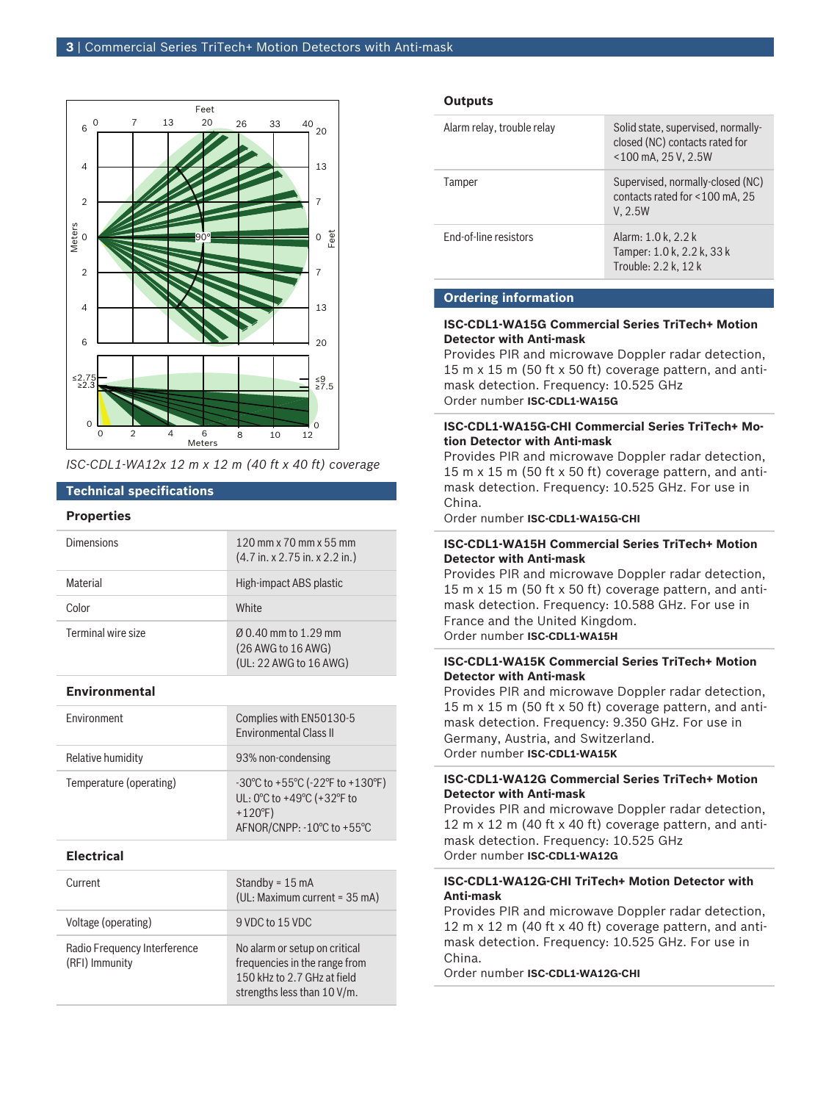

*ISC-CDL1-WA12x 12 m x 12 m (40 ft x 40 ft) coverage*

### **Technical specifications**

#### **Properties**

| Dimensions         | $120$ mm x $70$ mm x $55$ mm<br>$(4.7 \text{ in. x } 2.75 \text{ in. x } 2.2 \text{ in.})$ |
|--------------------|--------------------------------------------------------------------------------------------|
| Material           | High-impact ABS plastic                                                                    |
| Color              | White                                                                                      |
| Terminal wire size | $(0.40 \text{ mm})$ to 1.29 mm<br>(26 AWG to 16 AWG)<br>(UL: 22 AWG to 16 AWG)             |

#### **Environmental**

| <b>Environment</b>      | Complies with EN50130-5<br><b>Environmental Class II</b>                                                        |
|-------------------------|-----------------------------------------------------------------------------------------------------------------|
| Relative humidity       | 93% non-condensing                                                                                              |
| Temperature (operating) | -30°C to +55°C (-22°F to +130°F)<br>UL: 0°C to +49°C (+32°F to<br>$+120^{\circ}F$<br>AFNOR/CNPP: -10°C to +55°C |

#### **Electrical**

| Current                                        | Standby = $15 \text{ mA}$<br>(UL: Maximum current = 35 mA)                                                                   |
|------------------------------------------------|------------------------------------------------------------------------------------------------------------------------------|
| Voltage (operating)                            | 9 VDC to 15 VDC                                                                                                              |
| Radio Frequency Interference<br>(RFI) Immunity | No alarm or setup on critical<br>frequencies in the range from<br>150 kHz to 2.7 GHz at field<br>strengths less than 10 V/m. |

#### **Outputs**

| Alarm relay, trouble relay | Solid state, supervised, normally-<br>closed (NC) contacts rated for<br>$<$ 100 mA, 25 V, 2.5W |
|----------------------------|------------------------------------------------------------------------------------------------|
| Tamper                     | Supervised, normally-closed (NC)<br>contacts rated for <100 mA, 25<br>V, 2.5W                  |
| End-of-line resistors      | Alarm: 1.0 k, 2.2 k<br>Tamper: 1.0 k, 2.2 k, 33 k<br>Trouble: 2.2 k, 12 k                      |

#### **Ordering information**

#### **ISC-CDL1-WA15G Commercial Series TriTech+ Motion Detector with Anti-mask**

Provides PIR and microwave Doppler radar detection, 15 m x 15 m (50 ft x 50 ft) coverage pattern, and antimask detection. Frequency: 10.525 GHz Order number **ISC-CDL1-WA15G**

#### **ISC-CDL1-WA15G-CHI Commercial Series TriTech+ Motion Detector with Anti-mask**

Provides PIR and microwave Doppler radar detection, 15 m x 15 m (50 ft x 50 ft) coverage pattern, and antimask detection. Frequency: 10.525 GHz. For use in China.

Order number **ISC-CDL1-WA15G-CHI**

#### **ISC-CDL1-WA15H Commercial Series TriTech+ Motion Detector with Anti-mask**

Provides PIR and microwave Doppler radar detection, 15 m x 15 m (50 ft x 50 ft) coverage pattern, and antimask detection. Frequency: 10.588 GHz. For use in France and the United Kingdom. Order number **ISC-CDL1-WA15H**

#### **ISC-CDL1-WA15K Commercial Series TriTech+ Motion Detector with Anti-mask**

Provides PIR and microwave Doppler radar detection, 15 m x 15 m (50 ft x 50 ft) coverage pattern, and antimask detection. Frequency: 9.350 GHz. For use in Germany, Austria, and Switzerland. Order number **ISC-CDL1-WA15K**

#### **ISC-CDL1-WA12G Commercial Series TriTech+ Motion Detector with Anti-mask**

Provides PIR and microwave Doppler radar detection, 12 m x 12 m (40 ft x 40 ft) coverage pattern, and antimask detection. Frequency: 10.525 GHz Order number **ISC-CDL1-WA12G**

#### **ISC-CDL1-WA12G-CHI TriTech+ Motion Detector with Anti-mask**

Provides PIR and microwave Doppler radar detection, 12 m x 12 m (40 ft x 40 ft) coverage pattern, and antimask detection. Frequency: 10.525 GHz. For use in China.

Order number **ISC-CDL1-WA12G-CHI**